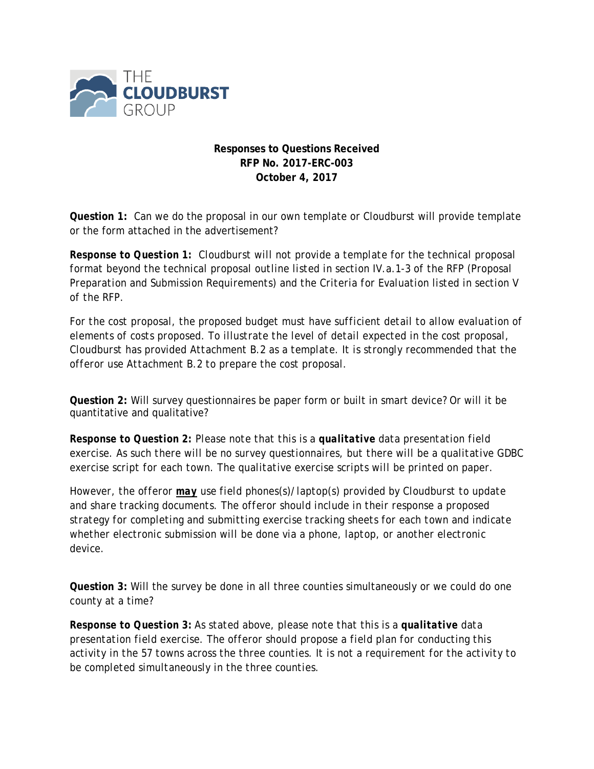

## **Responses to Questions Received RFP No. 2017-ERC-003 October 4, 2017**

**Question 1:** Can we do the proposal in our own template or Cloudburst will provide template or the form attached in the advertisement?

*Response to Question 1: Cloudburst will not provide a template for the technical proposal format beyond the technical proposal outline listed in section IV.a.1-3 of the RFP (Proposal Preparation and Submission Requirements) and the Criteria for Evaluation listed in section V of the RFP.* 

*For the cost proposal, the proposed budget must have sufficient detail to allow evaluation of elements of costs proposed. To illustrate the level of detail expected in the cost proposal, Cloudburst has provided Attachment B.2 as a template. It is strongly recommended that the offeror use Attachment B.2 to prepare the cost proposal.*

**Question 2:** Will survey questionnaires be paper form or built in smart device? Or will it be quantitative and qualitative?

*Response to Question 2: Please note that this is a qualitative data presentation field exercise. As such there will be no survey questionnaires, but there will be a qualitative GDBC exercise script for each town. The qualitative exercise scripts will be printed on paper.*

*However, the offeror may use field phones(s)/laptop(s) provided by Cloudburst to update and share tracking documents. The offeror should include in their response a proposed strategy for completing and submitting exercise tracking sheets for each town and indicate whether electronic submission will be done via a phone, laptop, or another electronic device.*

**Question 3:** Will the survey be done in all three counties simultaneously or we could do one county at a time?

*Response to Question 3: As stated above, please note that this is a qualitative data presentation field exercise. The offeror should propose a field plan for conducting this activity in the 57 towns across the three counties. It is not a requirement for the activity to be completed simultaneously in the three counties.*